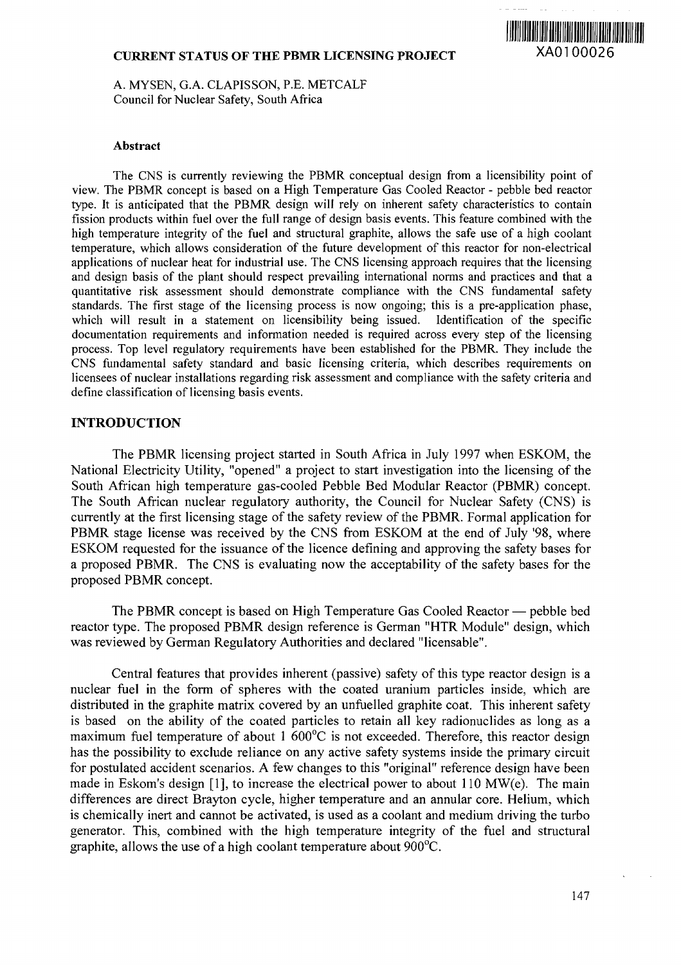# **CURRENT STATUS OF THE PBMR LICENSING PROJECT XAO100026**



A. MYSEN, G.A. CLAPISSON, P.E. METCALF Council for Nuclear Safety, South Africa

#### **Abstract**

The CNS is currently reviewing the PBMR conceptual design from a licensibility point of view. The PBMR concept is based on a High Temperature Gas Cooled Reactor - pebble bed reactor type. It is anticipated that the PBMR design will rely on inherent safety characteristics to contain fission products within fuel over the full range of design basis events. This feature combined with the high temperature integrity of the fuel and structural graphite, allows the safe use of a high coolant temperature, which allows consideration of the future development of this reactor for non-electrical applications of nuclear heat for industrial use. The CNS licensing approach requires that the licensing and design basis of the plant should respect prevailing international norms and practices and that a quantitative risk assessment should demonstrate compliance with the CNS fundamental safety standards. The first stage of the licensing process is now ongoing; this is a pre-application phase, which will result in a statement on licensibility being issued. Identification of the specific documentation requirements and information needed is required across every step of the licensing process. Top level regulatory requirements have been established for the PBMR. They include the CNS fundamental safety standard and basic licensing criteria, which describes requirements on licensees of nuclear installations regarding risk assessment and compliance with the safety criteria and define classification of licensing basis events.

### **INTRODUCTION**

The PBMR licensing project started in South Africa in July 1997 when ESKOM, the National Electricity Utility, "opened" a project to start investigation into the licensing of the South African high temperature gas-cooled Pebble Bed Modular Reactor (PBMR) concept. The South African nuclear regulatory authority, the Council for Nuclear Safety (CNS) is currently at the first licensing stage of the safety review of the PBMR. Formal application for PBMR stage license was received by the CNS from ESKOM at the end of July '98, where ESKOM requested for the issuance of the licence defining and approving the safety bases for a proposed PBMR. The CNS is evaluating now the acceptability of the safety bases for the proposed PBMR concept.

The PBMR concept is based on High Temperature Gas Cooled Reactor — pebble bed reactor type. The proposed PBMR design reference is German "HTR Module" design, which was reviewed by German Regulatory Authorities and declared "licensable".

Central features that provides inherent (passive) safety of this type reactor design is a nuclear fuel in the form of spheres with the coated uranium particles inside, which are distributed in the graphite matrix covered by an unfuelled graphite coat. This inherent safety is based on the ability of the coated particles to retain all key radionuclides as long as a maximum fuel temperature of about 1 600°C is not exceeded. Therefore, this reactor design has the possibility to exclude reliance on any active safety systems inside the primary circuit for postulated accident scenarios. A few changes to this "original" reference design have been made in Eskom's design [1], to increase the electrical power to about 110 MW(e). The main differences are direct Brayton cycle, higher temperature and an annular core. Helium, which is chemically inert and cannot be activated, is used as a coolant and medium driving the turbo generator. This, combined with the high temperature integrity of the fuel and structural graphite, allows the use of a high coolant temperature about 900°C.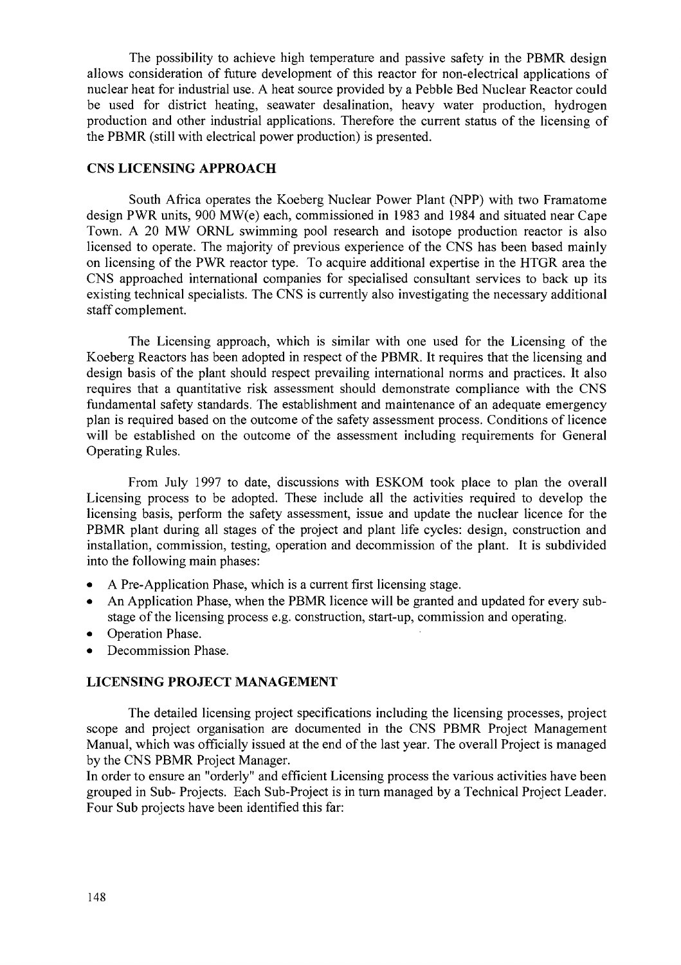The possibility to achieve high temperature and passive safety in the PBMR design allows consideration of future development of this reactor for non-electrical applications of nuclear heat for industrial use. A heat source provided by a Pebble Bed Nuclear Reactor could be used for district heating, seawater desalination, heavy water production, hydrogen production and other industrial applications. Therefore the current status of the licensing of the PBMR (still with electrical power production) is presented.

## **CNS LICENSING APPROACH**

South Africa operates the Koeberg Nuclear Power Plant (NPP) with two Framatome design PWR units, 900 MW(e) each, commissioned in 1983 and 1984 and situated near Cape Town. A 20 MW ORNL swimming pool research and isotope production reactor is also licensed to operate. The majority of previous experience of the CNS has been based mainly on licensing of the PWR reactor type. To acquire additional expertise in the HTGR area the CNS approached international companies for specialised consultant services to back up its existing technical specialists. The CNS is currently also investigating the necessary additional staff complement.

The Licensing approach, which is similar with one used for the Licensing of the Koeberg Reactors has been adopted in respect of the PBMR. It requires that the licensing and design basis of the plant should respect prevailing international norms and practices. It also requires that a quantitative risk assessment should demonstrate compliance with the CNS fundamental safety standards. The establishment and maintenance of an adequate emergency plan is required based on the outcome of the safety assessment process. Conditions of licence will be established on the outcome of the assessment including requirements for General Operating Rules.

From July 1997 to date, discussions with ESKOM took place to plan the overall Licensing process to be adopted. These include all the activities required to develop the licensing basis, perform the safety assessment, issue and update the nuclear licence for the PBMR plant during all stages of the project and plant life cycles: design, construction and installation, commission, testing, operation and decommission of the plant. It is subdivided into the following main phases:

- A Pre-Application Phase, which is a current first licensing stage.
- An Application Phase, when the PBMR licence will be granted and updated for every substage of the licensing process e.g. construction, start-up, commission and operating.
- Operation Phase.
- Decommission Phase.

#### **LICENSING PROJECT MANAGEMENT**

The detailed licensing project specifications including the licensing processes, project scope and project organisation are documented in the CNS PBMR Project Management Manual, which was officially issued at the end of the last year. The overall Project is managed by the CNS PBMR Project Manager.

In order to ensure an "orderly" and efficient Licensing process the various activities have been grouped in Sub- Projects. Each Sub-Project is in turn managed by a Technical Project Leader. Four Sub projects have been identified this far: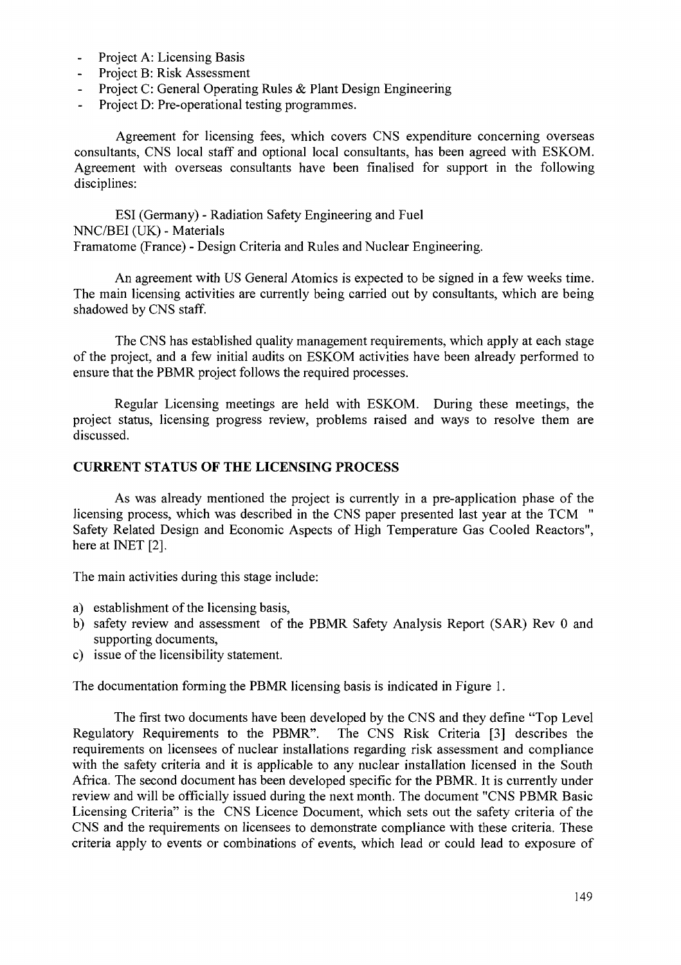- Project A: Licensing Basis
- Project B: Risk Assessment
- Project C: General Operating Rules & Plant Design Engineering
- Project D: Pre-operational testing programmes.

Agreement for licensing fees, which covers CNS expenditure concerning overseas consultants, CNS local staff and optional local consultants, has been agreed with ESKOM. Agreement with overseas consultants have been finalised for support in the following disciplines:

ESI (Germany) - Radiation Safety Engineering and Fuel NNC/BEI (UK) - Materials Framatome (France) - Design Criteria and Rules and Nuclear Engineering.

An agreement with US General Atomics is expected to be signed in a few weeks time. The main licensing activities are currently being carried out by consultants, which are being shadowed by CNS staff.

The CNS has established quality management requirements, which apply at each stage of the project, and a few initial audits on ESKOM activities have been already performed to ensure that the PBMR project follows the required processes.

Regular Licensing meetings are held with ESKOM. During these meetings, the project status, licensing progress review, problems raised and ways to resolve them are discussed.

## **CURRENT STATUS OF THE LICENSING PROCESS**

As was already mentioned the project is currently in a pre-application phase of the licensing process, which was described in the CNS paper presented last year at the TCM " Safety Related Design and Economic Aspects of High Temperature Gas Cooled Reactors", here at INET [2].

The main activities during this stage include:

- a) establishment of the licensing basis,
- b) safety review and assessment of the PBMR Safety Analysis Report (SAR) Rev 0 and supporting documents,
- c) issue of the licensibility statement.

The documentation forming the PBMR licensing basis is indicated in Figure 1.

The first two documents have been developed by the CNS and they define "Top Level Regulatory Requirements to the PBMR". The CNS Risk Criteria [3] describes the requirements on licensees of nuclear installations regarding risk assessment and compliance with the safety criteria and it is applicable to any nuclear installation licensed in the South Africa. The second document has been developed specific for the PBMR. It is currently under review and will be officially issued during the next month. The document "CNS PBMR Basic Licensing Criteria" is the CNS Licence Document, which sets out the safety criteria of the CNS and the requirements on licensees to demonstrate compliance with these criteria. These criteria apply to events or combinations of events, which lead or could lead to exposure of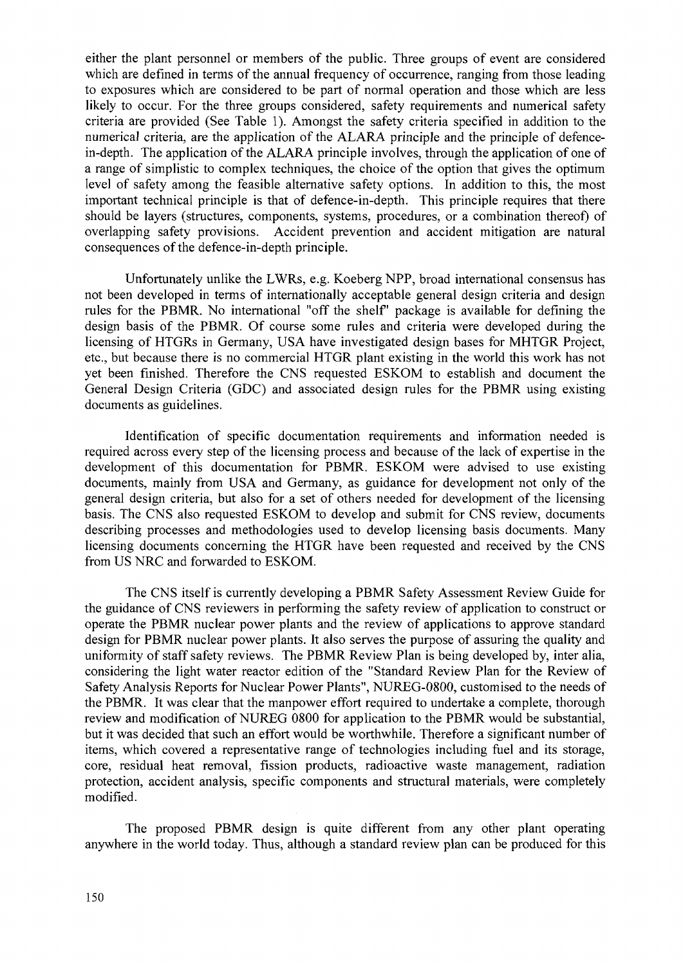either the plant personnel or members of the public. Three groups of event are considered which are defined in terms of the annual frequency of occurrence, ranging from those leading to exposures which are considered to be part of normal operation and those which are less likely to occur. For the three groups considered, safety requirements and numerical safety criteria are provided (See Table 1). Amongst the safety criteria specified in addition to the numerical criteria, are the application of the ALARA principle and the principle of defencein-depth. The application of the ALARA principle involves, through the application of one of a range of simplistic to complex techniques, the choice of the option that gives the optimum level of safety among the feasible alternative safety options. In addition to this, the most important technical principle is that of defence-in-depth. This principle requires that there should be layers (structures, components, systems, procedures, or a combination thereof) of overlapping safety provisions. Accident prevention and accident mitigation are natural consequences of the defence-in-depth principle.

Unfortunately unlike the LWRs, e.g. Koeberg NPP, broad international consensus has not been developed in terms of internationally acceptable general design criteria and design rules for the PBMR. No international "off the shelf" package is available for defining the design basis of the PBMR. Of course some rules and criteria were developed during the licensing of HTGRs in Germany, USA have investigated design bases for MHTGR Project, etc., but because there is no commercial HTGR plant existing in the world this work has not yet been finished. Therefore the CNS requested ESKOM to establish and document the General Design Criteria (GDC) and associated design rules for the PBMR using existing documents as guidelines.

Identification of specific documentation requirements and information needed is required across every step of the licensing process and because of the lack of expertise in the development of this documentation for PBMR. ESKOM were advised to use existing documents, mainly from USA and Germany, as guidance for development not only of the general design criteria, but also for a set of others needed for development of the licensing basis. The CNS also requested ESKOM to develop and submit for CNS review, documents describing processes and methodologies used to develop licensing basis documents. Many licensing documents concerning the HTGR have been requested and received by the CNS from US NRC and forwarded to ESKOM.

The CNS itself is currently developing a PBMR Safety Assessment Review Guide for the guidance of CNS reviewers in performing the safety review of application to construct or operate the PBMR nuclear power plants and the review of applications to approve standard design for PBMR nuclear power plants. It also serves the purpose of assuring the quality and uniformity of staff safety reviews. The PBMR Review Plan is being developed by, inter alia, considering the light water reactor edition of the "Standard Review Plan for the Review of Safety Analysis Reports for Nuclear Power Plants", NUREG-0800, customised to the needs of the PBMR. It was clear that the manpower effort required to undertake a complete, thorough review and modification of NUREG 0800 for application to the PBMR would be substantial, but it was decided that such an effort would be worthwhile. Therefore a significant number of items, which covered a representative range of technologies including fuel and its storage, core, residual heat removal, fission products, radioactive waste management, radiation protection, accident analysis, specific components and structural materials, were completely modified.

The proposed PBMR design is quite different from any other plant operating anywhere in the world today. Thus, although a standard review plan can be produced for this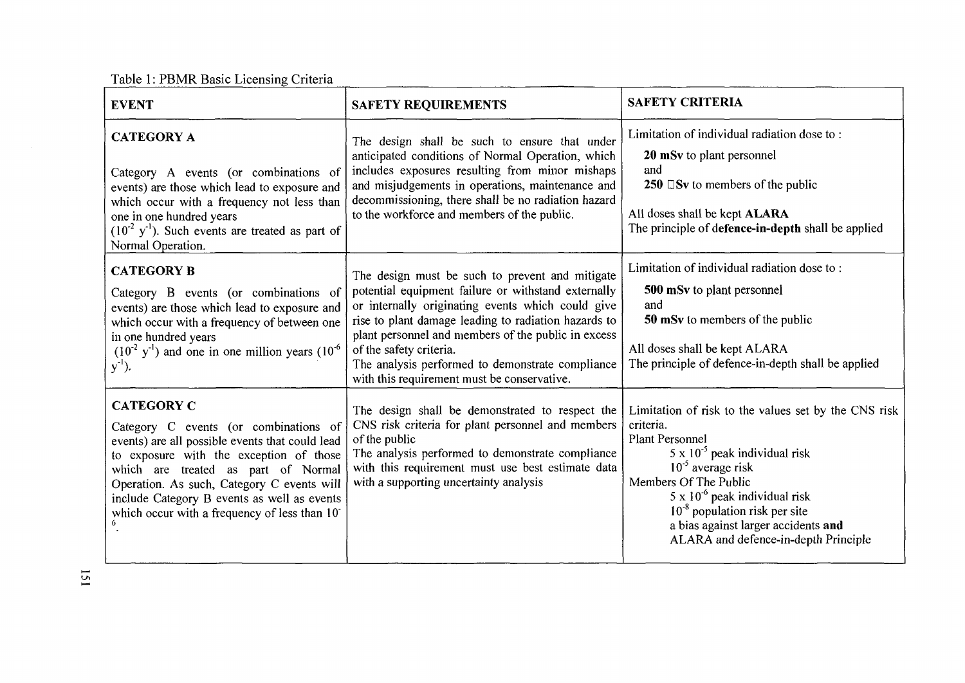Table 1: PBMR Basic Licensing Criteria

| <b>EVENT</b>                                                                                                                                                                                                                                                                                                                                 | <b>SAFETY REQUIREMENTS</b>                                                                                                                                                                                                                                                                                                                                                                               | <b>SAFETY CRITERIA</b>                                                                                                                                                                                                                                                                                                                                    |
|----------------------------------------------------------------------------------------------------------------------------------------------------------------------------------------------------------------------------------------------------------------------------------------------------------------------------------------------|----------------------------------------------------------------------------------------------------------------------------------------------------------------------------------------------------------------------------------------------------------------------------------------------------------------------------------------------------------------------------------------------------------|-----------------------------------------------------------------------------------------------------------------------------------------------------------------------------------------------------------------------------------------------------------------------------------------------------------------------------------------------------------|
| <b>CATEGORY A</b><br>Category A events (or combinations of<br>events) are those which lead to exposure and<br>which occur with a frequency not less than<br>one in one hundred years<br>$(10^{-2} \text{ y}^{-1})$ . Such events are treated as part of<br>Normal Operation.                                                                 | The design shall be such to ensure that under<br>anticipated conditions of Normal Operation, which<br>includes exposures resulting from minor mishaps<br>and misjudgements in operations, maintenance and<br>decommissioning, there shall be no radiation hazard<br>to the workforce and members of the public.                                                                                          | Limitation of individual radiation dose to:<br>20 mSv to plant personnel<br>and<br>250 $\square$ Sv to members of the public<br>All doses shall be kept ALARA<br>The principle of defence-in-depth shall be applied                                                                                                                                       |
| <b>CATEGORY B</b><br>Category B events (or combinations of<br>events) are those which lead to exposure and<br>which occur with a frequency of between one<br>in one hundred years<br>$(10^{-2} \text{ y}^{-1})$ and one in one million years $(10^{-6} \text{ y}^{-1})$<br>$y^{-1}$ ).                                                       | The design must be such to prevent and mitigate<br>potential equipment failure or withstand externally<br>or internally originating events which could give<br>rise to plant damage leading to radiation hazards to<br>plant personnel and members of the public in excess<br>of the safety criteria.<br>The analysis performed to demonstrate compliance<br>with this requirement must be conservative. | Limitation of individual radiation dose to:<br>500 mSv to plant personnel<br>and<br>50 mSv to members of the public<br>All doses shall be kept ALARA<br>The principle of defence-in-depth shall be applied                                                                                                                                                |
| <b>CATEGORY C</b><br>Category C events (or combinations of<br>events) are all possible events that could lead<br>to exposure with the exception of those<br>which are treated as part of Normal<br>Operation. As such, Category C events will<br>include Category B events as well as events<br>which occur with a frequency of less than 10 | The design shall be demonstrated to respect the<br>CNS risk criteria for plant personnel and members<br>of the public<br>The analysis performed to demonstrate compliance<br>with this requirement must use best estimate data<br>with a supporting uncertainty analysis                                                                                                                                 | Limitation of risk to the values set by the CNS risk<br>criteria.<br><b>Plant Personnel</b><br>$5 \times 10^{-5}$ peak individual risk<br>$10^{-5}$ average risk<br>Members Of The Public<br>$5 \times 10^{-6}$ peak individual risk<br>$10^{-8}$ population risk per site<br>a bias against larger accidents and<br>ALARA and defence-in-depth Principle |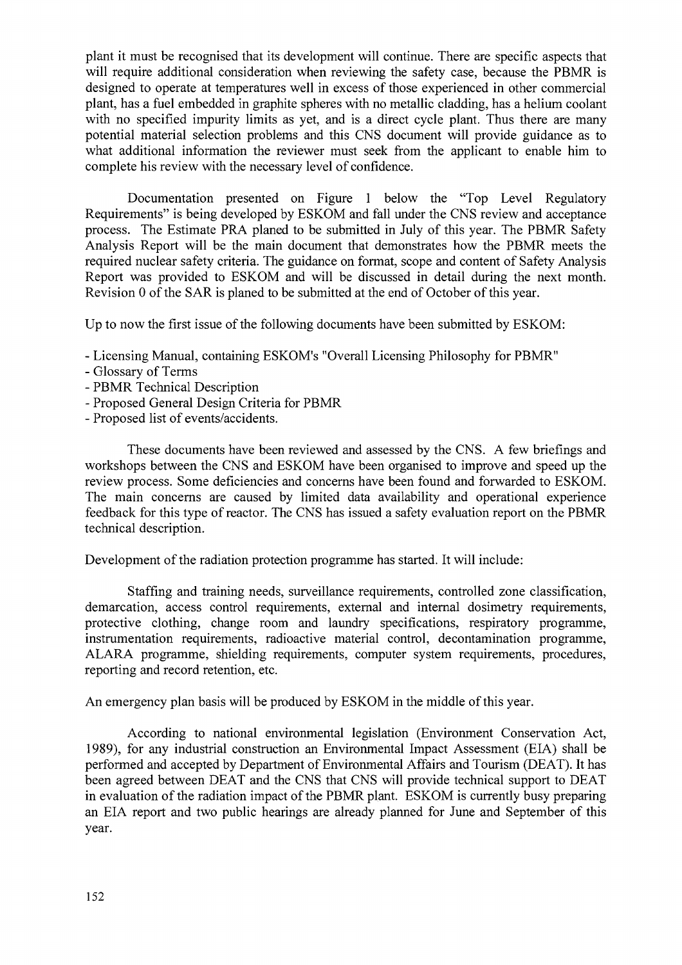plant it must be recognised that its development will continue. There are specific aspects that will require additional consideration when reviewing the safety case, because the PBMR is designed to operate at temperatures well in excess of those experienced in other commercial plant, has a fuel embedded in graphite spheres with no metallic cladding, has a helium coolant with no specified impurity limits as yet, and is a direct cycle plant. Thus there are many potential material selection problems and this CNS document will provide guidance as to what additional information the reviewer must seek from the applicant to enable him to complete his review with the necessary level of confidence.

Documentation presented on Figure 1 below the "Top Level Regulatory Requirements" is being developed by ESKOM and fall under the CNS review and acceptance process. The Estimate PRA planed to be submitted in July of this year. The PBMR Safety Analysis Report will be the main document that demonstrates how the PBMR meets the required nuclear safety criteria. The guidance on format, scope and content of Safety Analysis Report was provided to ESKOM and will be discussed in detail during the next month. Revision 0 of the SAR is planed to be submitted at the end of October of this year.

Up to now the first issue of the following documents have been submitted by ESKOM:

- Licensing Manual, containing ESKOM's "Overall Licensing Philosophy for PBMR"
- Glossary of Terms
- PBMR Technical Description
- Proposed General Design Criteria for PBMR
- Proposed list of events/accidents.

These documents have been reviewed and assessed by the CNS. A few briefings and workshops between the CNS and ESKOM have been organised to improve and speed up the review process. Some deficiencies and concerns have been found and forwarded to ESKOM. The main concerns are caused by limited data availability and operational experience feedback for this type of reactor. The CNS has issued a safety evaluation report on the PBMR technical description.

Development of the radiation protection programme has started. It will include:

Staffing and training needs, surveillance requirements, controlled zone classification, demarcation, access control requirements, external and internal dosimetry requirements, protective clothing, change room and laundry specifications, respiratory programme, instrumentation requirements, radioactive material control, decontamination programme, ALARA programme, shielding requirements, computer system requirements, procedures, reporting and record retention, etc.

An emergency plan basis will be produced by ESKOM in the middle of this year.

According to national environmental legislation (Environment Conservation Act, 1989), for any industrial construction an Environmental Impact Assessment (EIA) shall be performed and accepted by Department of Environmental Affairs and Tourism (DEAT). It has been agreed between DEAT and the CNS that CNS will provide technical support to DEAT in evaluation of the radiation impact of the PBMR plant. ESKOM is currently busy preparing an EIA report and two public hearings are already planned for June and September of this year.